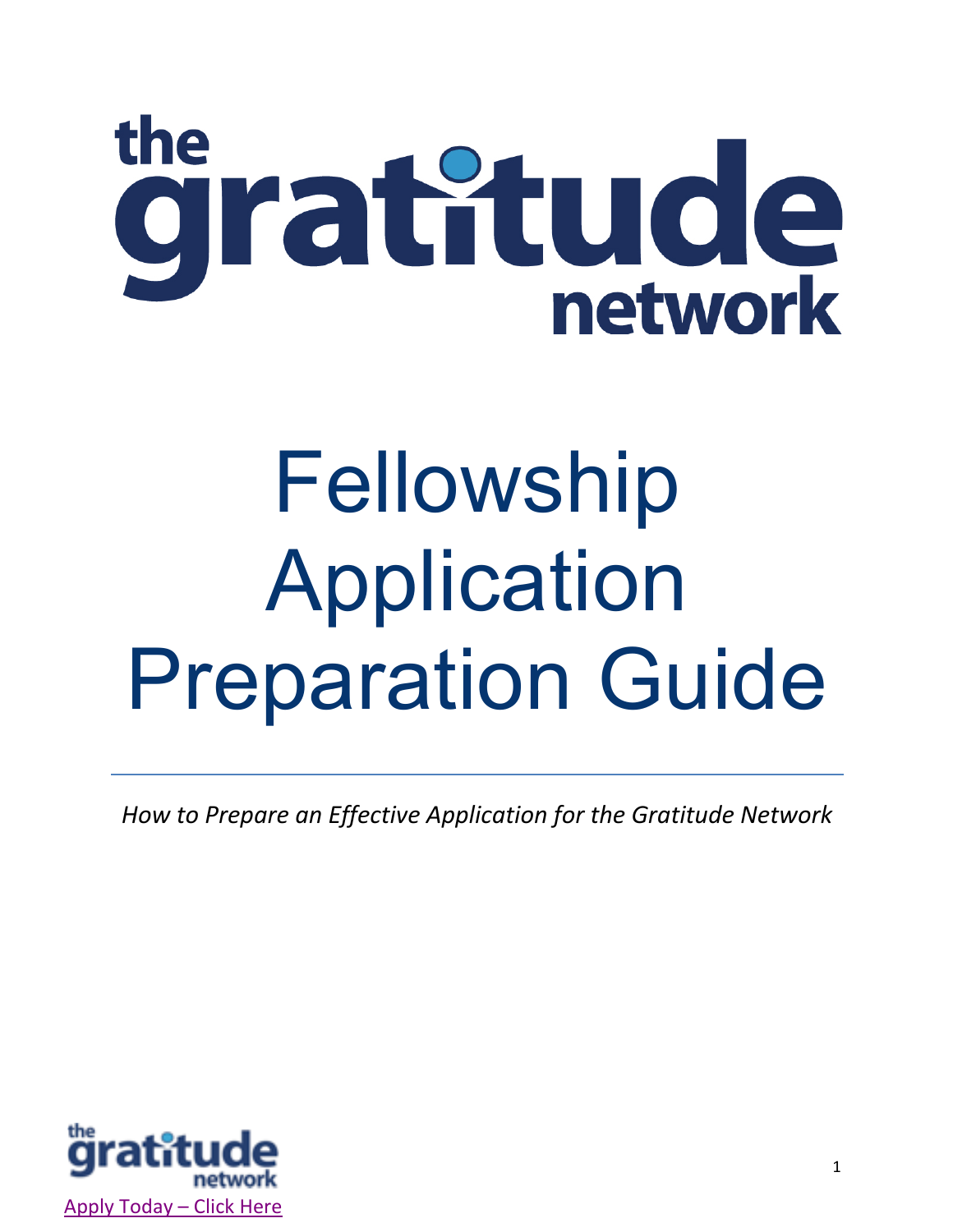# the gratitude

# Fellowship Application Preparation Guide

*How to Prepare an Effective Application for the Gratitude Network*

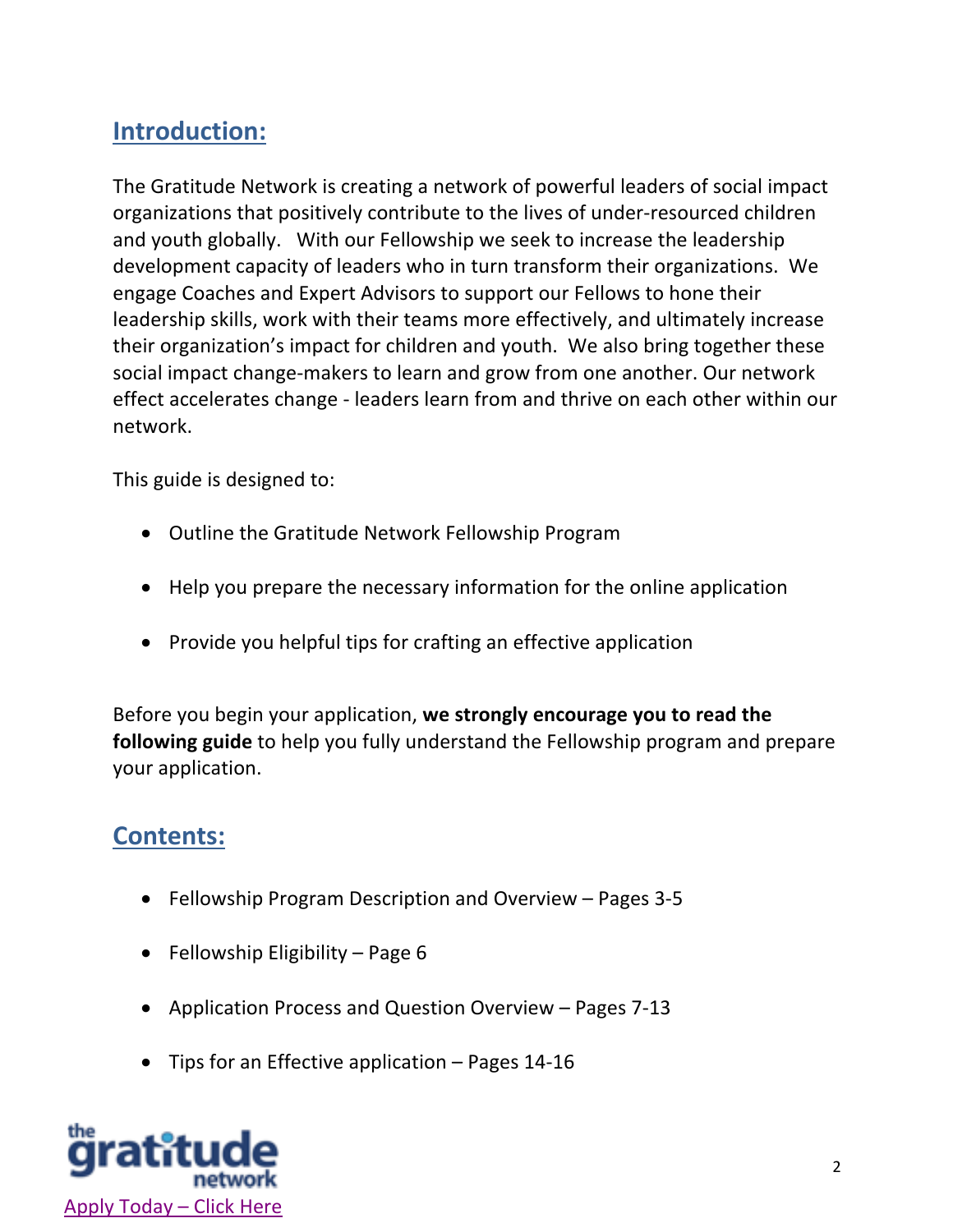# **Introduction:**

The Gratitude Network is creating a network of powerful leaders of social impact organizations that positively contribute to the lives of under-resourced children and youth globally. With our Fellowship we seek to increase the leadership development capacity of leaders who in turn transform their organizations. We engage Coaches and Expert Advisors to support our Fellows to hone their leadership skills, work with their teams more effectively, and ultimately increase their organization's impact for children and youth. We also bring together these social impact change-makers to learn and grow from one another. Our network effect accelerates change - leaders learn from and thrive on each other within our network.

This guide is designed to:

- Outline the Gratitude Network Fellowship Program
- Help you prepare the necessary information for the online application
- Provide you helpful tips for crafting an effective application

Before you begin your application, **we strongly encourage you to read the following guide** to help you fully understand the Fellowship program and prepare your application.

### **Contents:**

- Fellowship Program Description and Overview Pages 3-5
- Fellowship Eligibility Page 6
- Application Process and Question Overview Pages 7-13
- Tips for an Effective application Pages 14-16

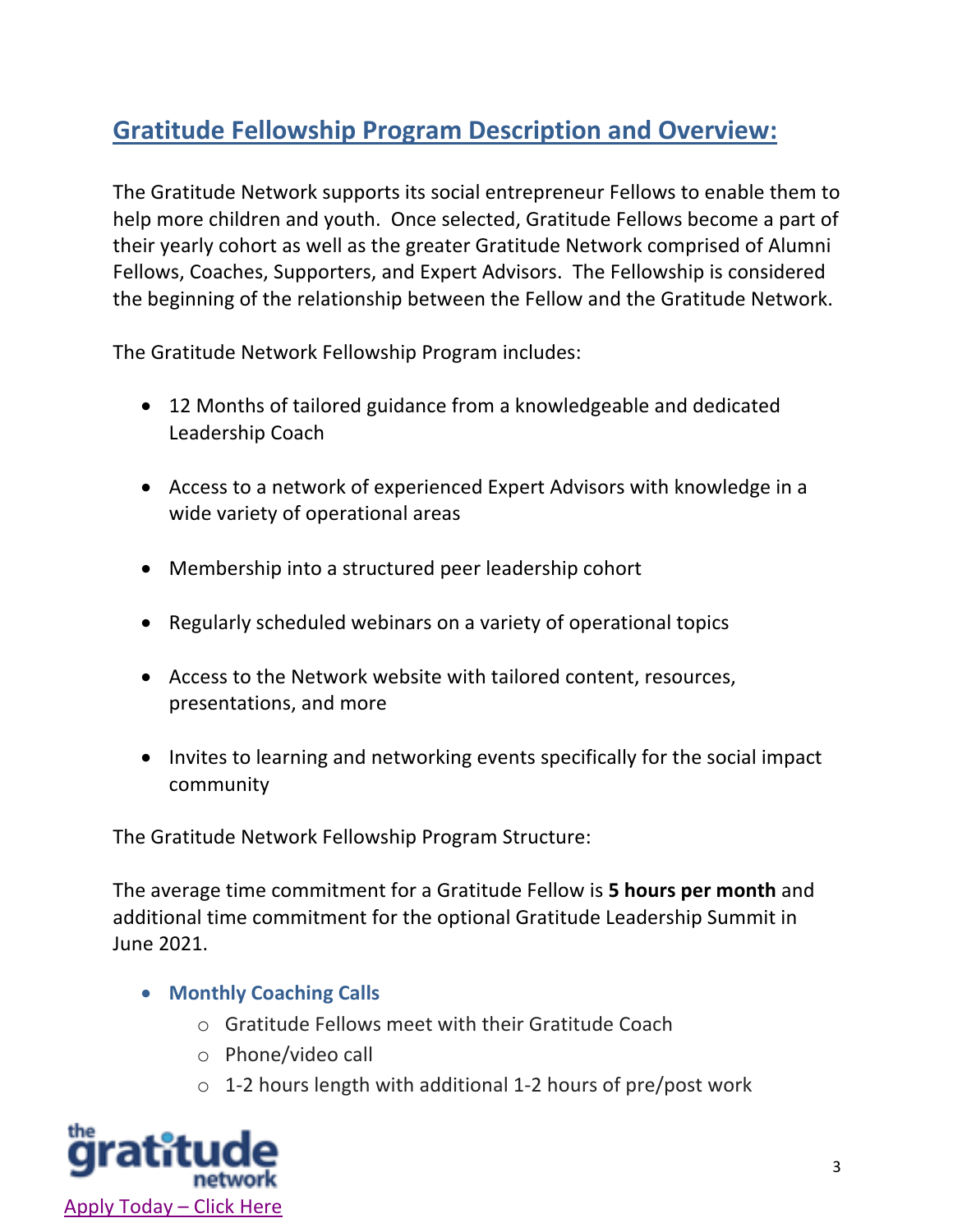# **Gratitude Fellowship Program Description and Overview:**

The Gratitude Network supports its social entrepreneur Fellows to enable them to help more children and youth. Once selected, Gratitude Fellows become a part of their yearly cohort as well as the greater Gratitude Network comprised of Alumni Fellows, Coaches, Supporters, and Expert Advisors. The Fellowship is considered the beginning of the relationship between the Fellow and the Gratitude Network.

The Gratitude Network Fellowship Program includes:

- 12 Months of tailored guidance from a knowledgeable and dedicated Leadership Coach
- Access to a network of experienced Expert Advisors with knowledge in a wide variety of operational areas
- Membership into a structured peer leadership cohort
- Regularly scheduled webinars on a variety of operational topics
- Access to the Network website with tailored content, resources, presentations, and more
- Invites to learning and networking events specifically for the social impact community

The Gratitude Network Fellowship Program Structure:

The average time commitment for a Gratitude Fellow is **5 hours per month** and additional time commitment for the optional Gratitude Leadership Summit in June 2021.

- **Monthly Coaching Calls**
	- o Gratitude Fellows meet with their Gratitude Coach
	- o Phone/video call
	- o 1-2 hours length with additional 1-2 hours of pre/post work

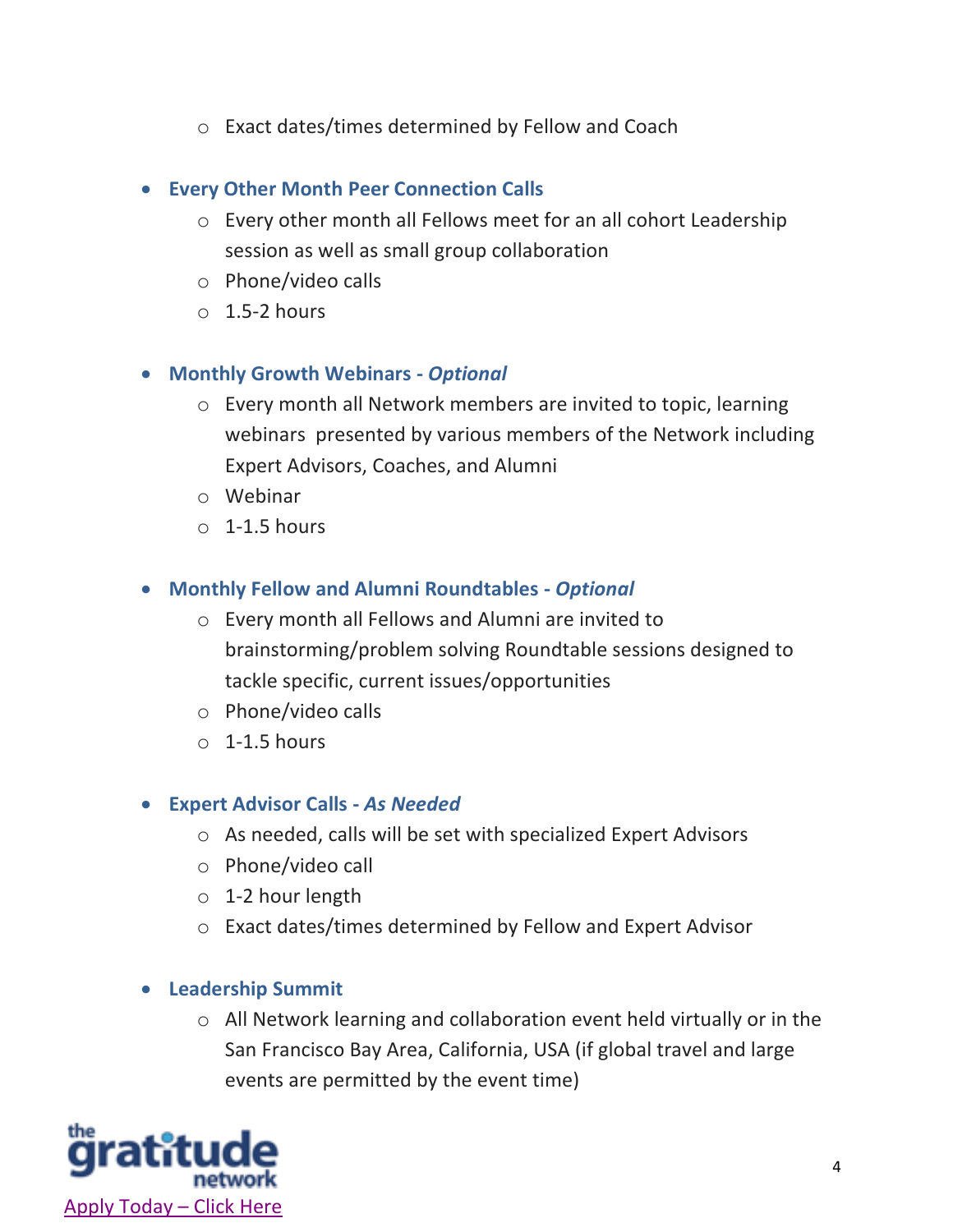o Exact dates/times determined by Fellow and Coach

#### • **Every Other Month Peer Connection Calls**

- o Every other month all Fellows meet for an all cohort Leadership session as well as small group collaboration
- o Phone/video calls
- $\circ$  1.5-2 hours

#### • **Monthly Growth Webinars -** *Optional*

- o Every month all Network members are invited to topic, learning webinars presented by various members of the Network including Expert Advisors, Coaches, and Alumni
- o Webinar
- $\circ$  1-1.5 hours

#### • **Monthly Fellow and Alumni Roundtables -** *Optional*

- o Every month all Fellows and Alumni are invited to brainstorming/problem solving Roundtable sessions designed to tackle specific, current issues/opportunities
- o Phone/video calls
- $\circ$  1-1.5 hours

#### • **Expert Advisor Calls -** *As Needed*

- o As needed, calls will be set with specialized Expert Advisors
- o Phone/video call
- o 1-2 hour length
- o Exact dates/times determined by Fellow and Expert Advisor

#### • **Leadership Summit**

o All Network learning and collaboration event held virtually or in the San Francisco Bay Area, California, USA (if global travel and large events are permitted by the event time)

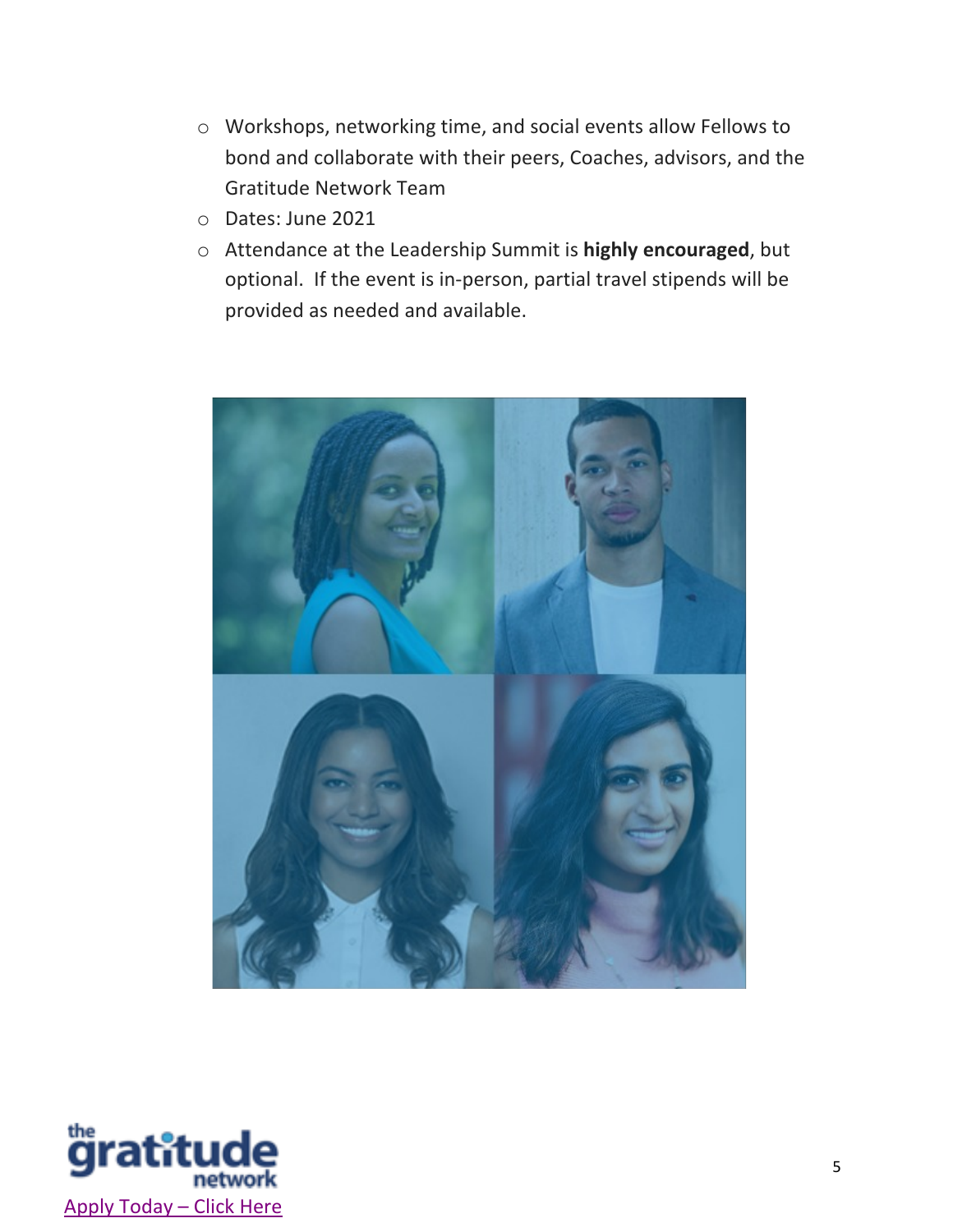- o Workshops, networking time, and social events allow Fellows to bond and collaborate with their peers, Coaches, advisors, and the Gratitude Network Team
- o Dates: June 2021
- o Attendance at the Leadership Summit is **highly encouraged**, but optional. If the event is in-person, partial travel stipends will be provided as needed and available.



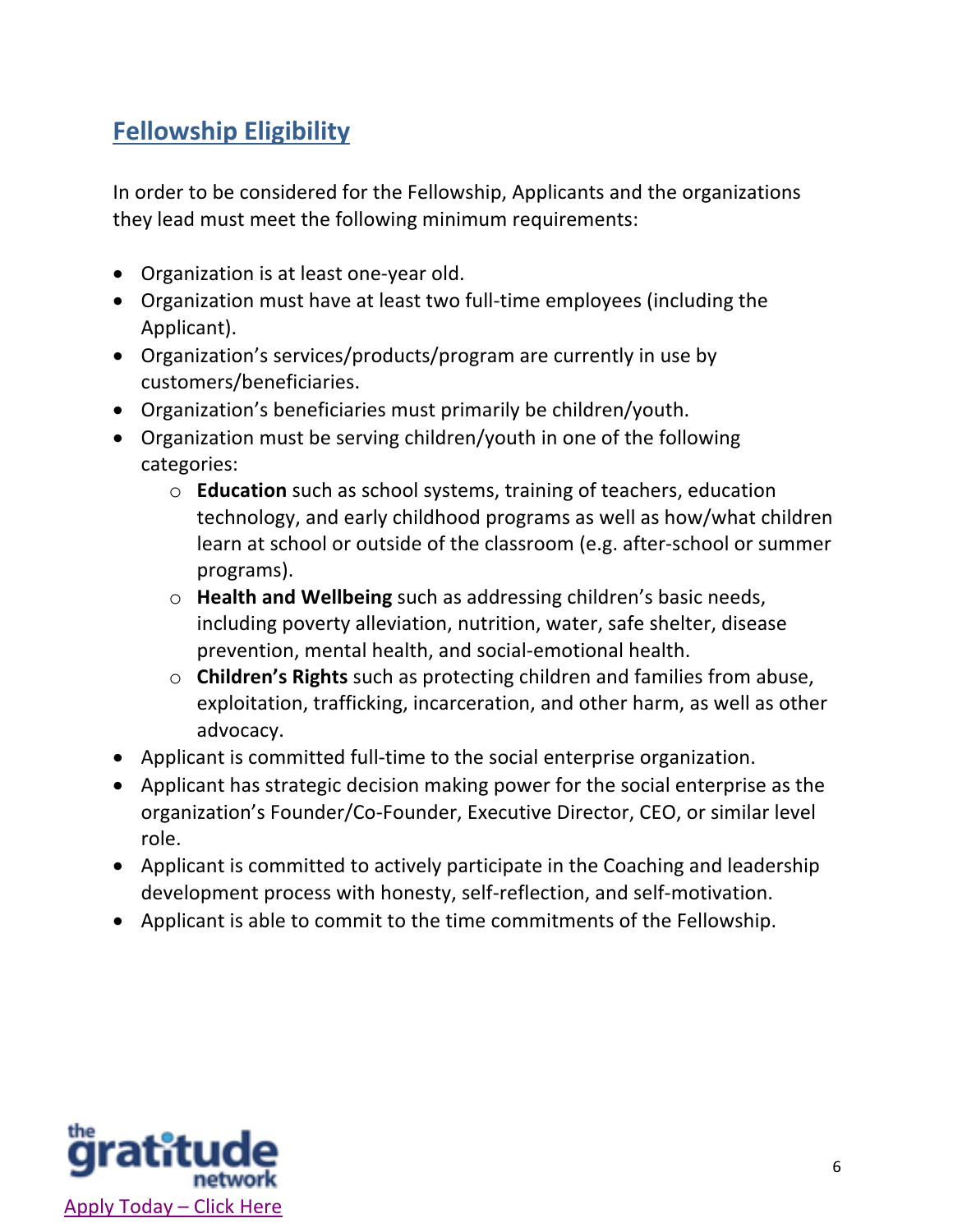# **Fellowship Eligibility**

In order to be considered for the Fellowship, Applicants and the organizations they lead must meet the following minimum requirements:

- Organization is at least one-year old.
- Organization must have at least two full-time employees (including the Applicant).
- Organization's services/products/program are currently in use by customers/beneficiaries.
- Organization's beneficiaries must primarily be children/youth.
- Organization must be serving children/youth in one of the following categories:
	- o **Education** such as school systems, training of teachers, education technology, and early childhood programs as well as how/what children learn at school or outside of the classroom (e.g. after-school or summer programs).
	- o **Health and Wellbeing** such as addressing children's basic needs, including poverty alleviation, nutrition, water, safe shelter, disease prevention, mental health, and social-emotional health.
	- o **Children's Rights** such as protecting children and families from abuse, exploitation, trafficking, incarceration, and other harm, as well as other advocacy.
- Applicant is committed full-time to the social enterprise organization.
- Applicant has strategic decision making power for the social enterprise as the organization's Founder/Co-Founder, Executive Director, CEO, or similar level role.
- Applicant is committed to actively participate in the Coaching and leadership development process with honesty, self-reflection, and self-motivation.
- Applicant is able to commit to the time commitments of the Fellowship.

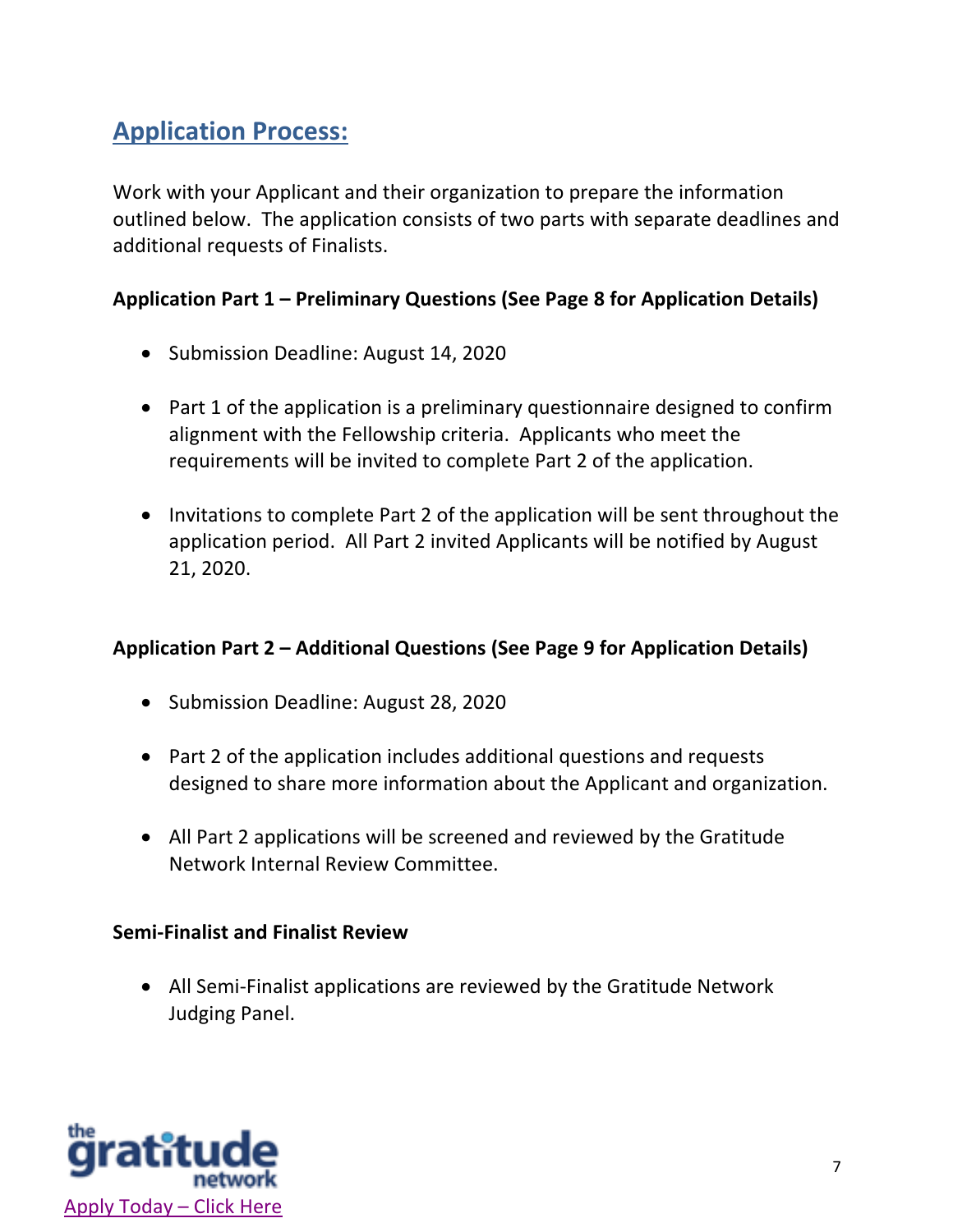# **Application Process:**

Work with your Applicant and their organization to prepare the information outlined below. The application consists of two parts with separate deadlines and additional requests of Finalists.

#### **Application Part 1 – Preliminary Questions (See Page 8 for Application Details)**

- Submission Deadline: August 14, 2020
- Part 1 of the application is a preliminary questionnaire designed to confirm alignment with the Fellowship criteria. Applicants who meet the requirements will be invited to complete Part 2 of the application.
- Invitations to complete Part 2 of the application will be sent throughout the application period. All Part 2 invited Applicants will be notified by August 21, 2020.

#### **Application Part 2 – Additional Questions (See Page 9 for Application Details)**

- Submission Deadline: August 28, 2020
- Part 2 of the application includes additional questions and requests designed to share more information about the Applicant and organization.
- All Part 2 applications will be screened and reviewed by the Gratitude Network Internal Review Committee.

#### **Semi-Finalist and Finalist Review**

• All Semi-Finalist applications are reviewed by the Gratitude Network Judging Panel.

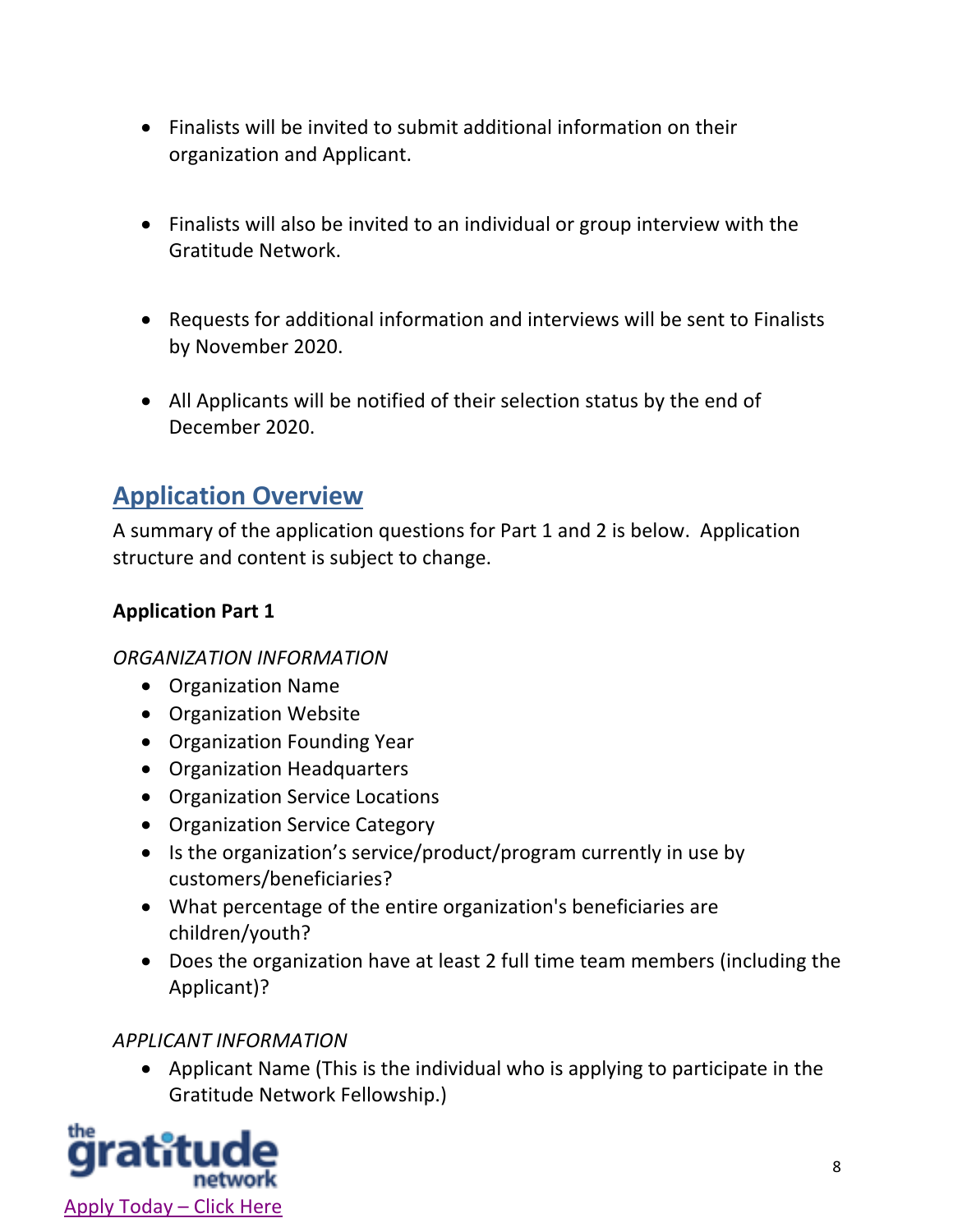- Finalists will be invited to submit additional information on their organization and Applicant.
- Finalists will also be invited to an individual or group interview with the Gratitude Network.
- Requests for additional information and interviews will be sent to Finalists by November 2020.
- All Applicants will be notified of their selection status by the end of December 2020.

# **Application Overview**

A summary of the application questions for Part 1 and 2 is below. Application structure and content is subject to change.

#### **Application Part 1**

#### *ORGANIZATION INFORMATION*

- Organization Name
- Organization Website
- Organization Founding Year
- Organization Headquarters
- Organization Service Locations
- Organization Service Category
- Is the organization's service/product/program currently in use by customers/beneficiaries?
- What percentage of the entire organization's beneficiaries are children/youth?
- Does the organization have at least 2 full time team members (including the Applicant)?

#### *APPLICANT INFORMATION*

• Applicant Name (This is the individual who is applying to participate in the Gratitude Network Fellowship.)

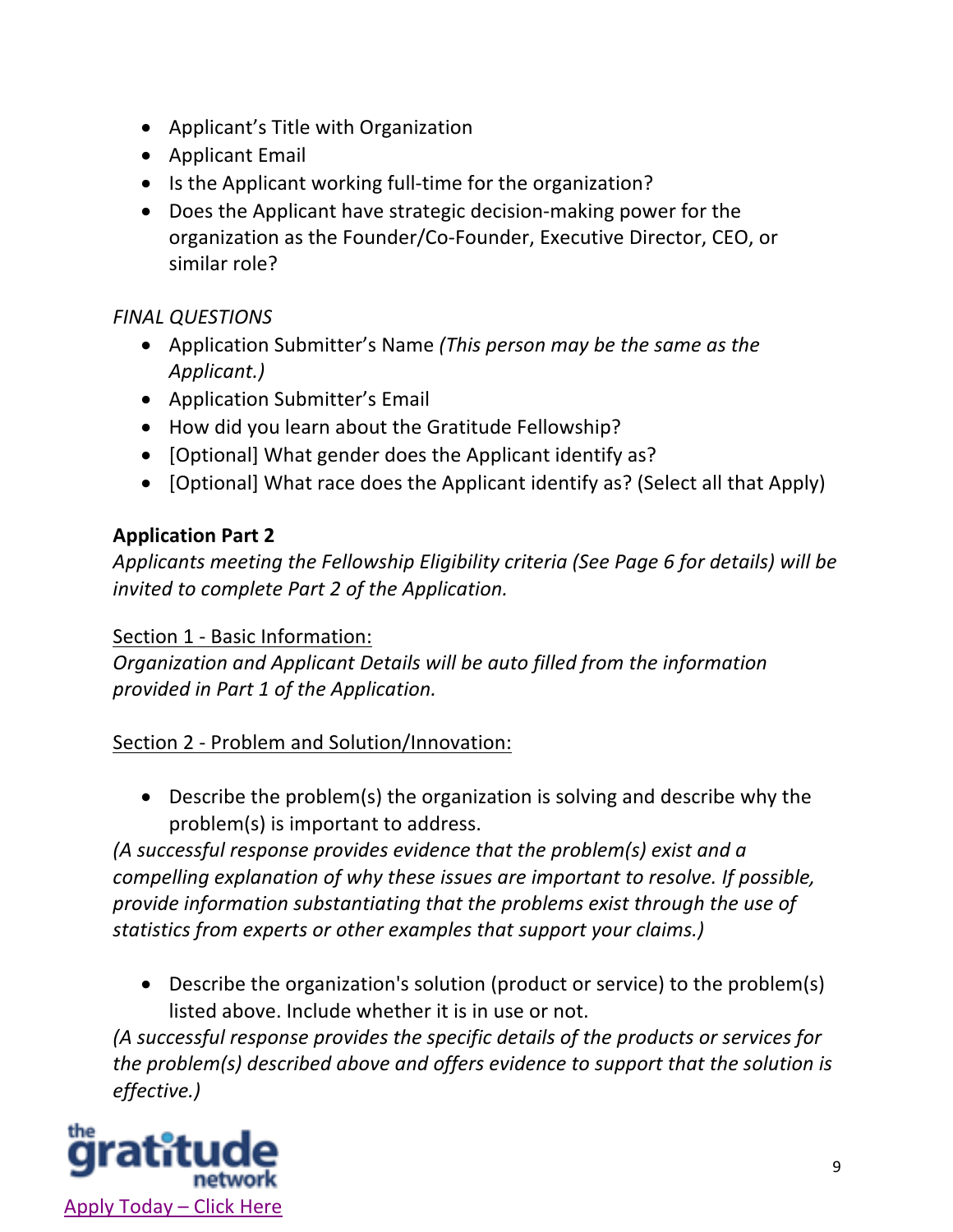- Applicant's Title with Organization
- Applicant Email
- Is the Applicant working full-time for the organization?
- Does the Applicant have strategic decision-making power for the organization as the Founder/Co-Founder, Executive Director, CEO, or similar role?

#### *FINAL QUESTIONS*

- Application Submitter's Name *(This person may be the same as the Applicant.)*
- Application Submitter's Email
- How did you learn about the Gratitude Fellowship?
- [Optional] What gender does the Applicant identify as?
- [Optional] What race does the Applicant identify as? (Select all that Apply)

#### **Application Part 2**

*Applicants meeting the Fellowship Eligibility criteria (See Page 6 for details) will be invited to complete Part 2 of the Application.*

Section 1 - Basic Information:

*Organization and Applicant Details will be auto filled from the information provided in Part 1 of the Application.*

#### Section 2 - Problem and Solution/Innovation:

• Describe the problem(s) the organization is solving and describe why the problem(s) is important to address.

*(A successful response provides evidence that the problem(s) exist and a compelling explanation of why these issues are important to resolve. If possible, provide information substantiating that the problems exist through the use of statistics from experts or other examples that support your claims.)*

• Describe the organization's solution (product or service) to the problem(s) listed above. Include whether it is in use or not.

*(A successful response provides the specific details of the products or services for the problem(s) described above and offers evidence to support that the solution is effective.)*

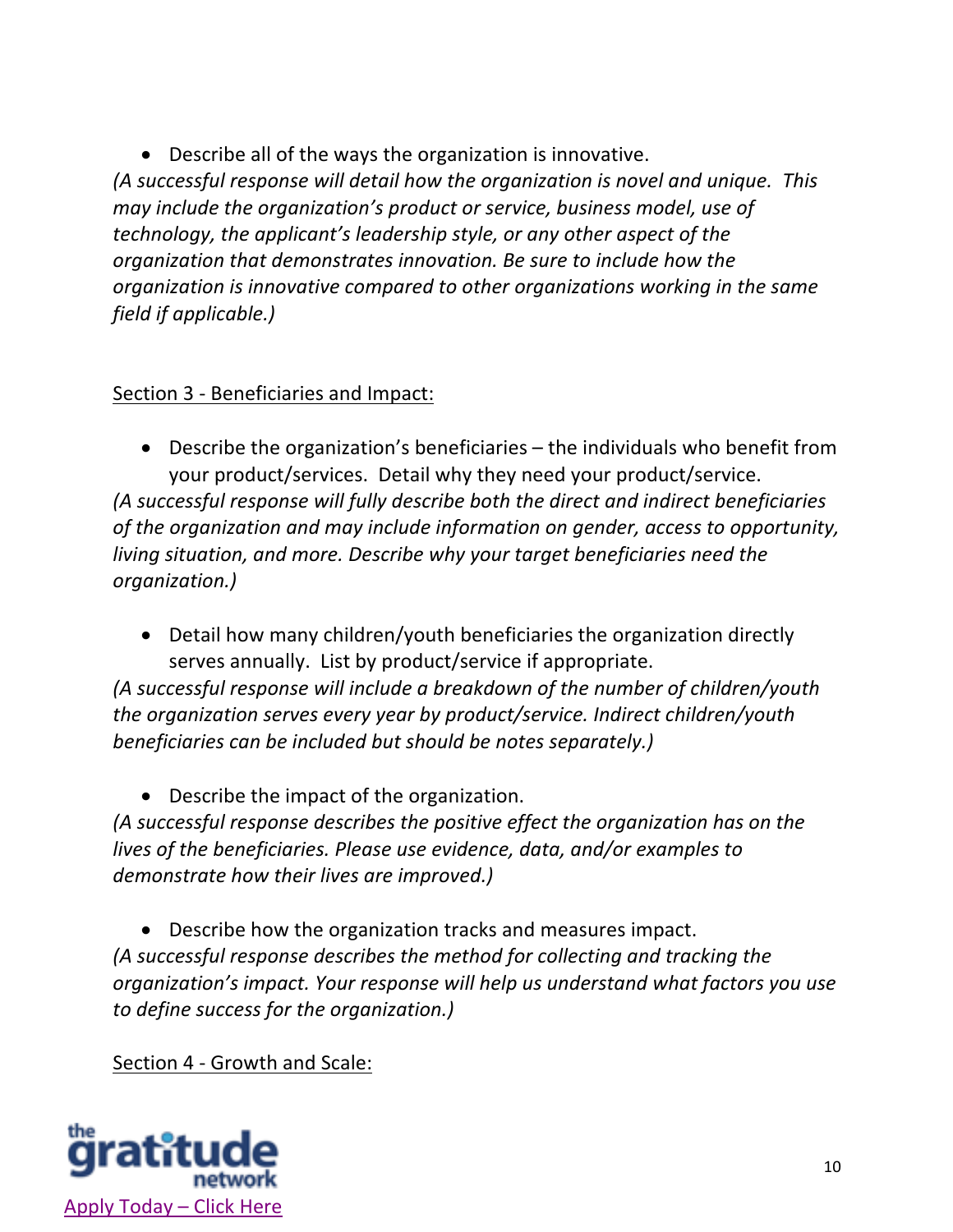• Describe all of the ways the organization is innovative.

*(A successful response will detail how the organization is novel and unique. This may include the organization's product or service, business model, use of technology, the applicant's leadership style, or any other aspect of the organization that demonstrates innovation. Be sure to include how the organization is innovative compared to other organizations working in the same field if applicable.)*

#### Section 3 - Beneficiaries and Impact:

• Describe the organization's beneficiaries – the individuals who benefit from your product/services. Detail why they need your product/service.

*(A successful response will fully describe both the direct and indirect beneficiaries of the organization and may include information on gender, access to opportunity, living situation, and more. Describe why your target beneficiaries need the organization.)* 

• Detail how many children/youth beneficiaries the organization directly serves annually. List by product/service if appropriate.

*(A successful response will include a breakdown of the number of children/youth the organization serves every year by product/service. Indirect children/youth beneficiaries can be included but should be notes separately.)*

• Describe the impact of the organization.

*(A successful response describes the positive effect the organization has on the lives of the beneficiaries. Please use evidence, data, and/or examples to demonstrate how their lives are improved.)*

• Describe how the organization tracks and measures impact. *(A successful response describes the method for collecting and tracking the organization's impact. Your response will help us understand what factors you use to define success for the organization.)*

Section 4 - Growth and Scale:

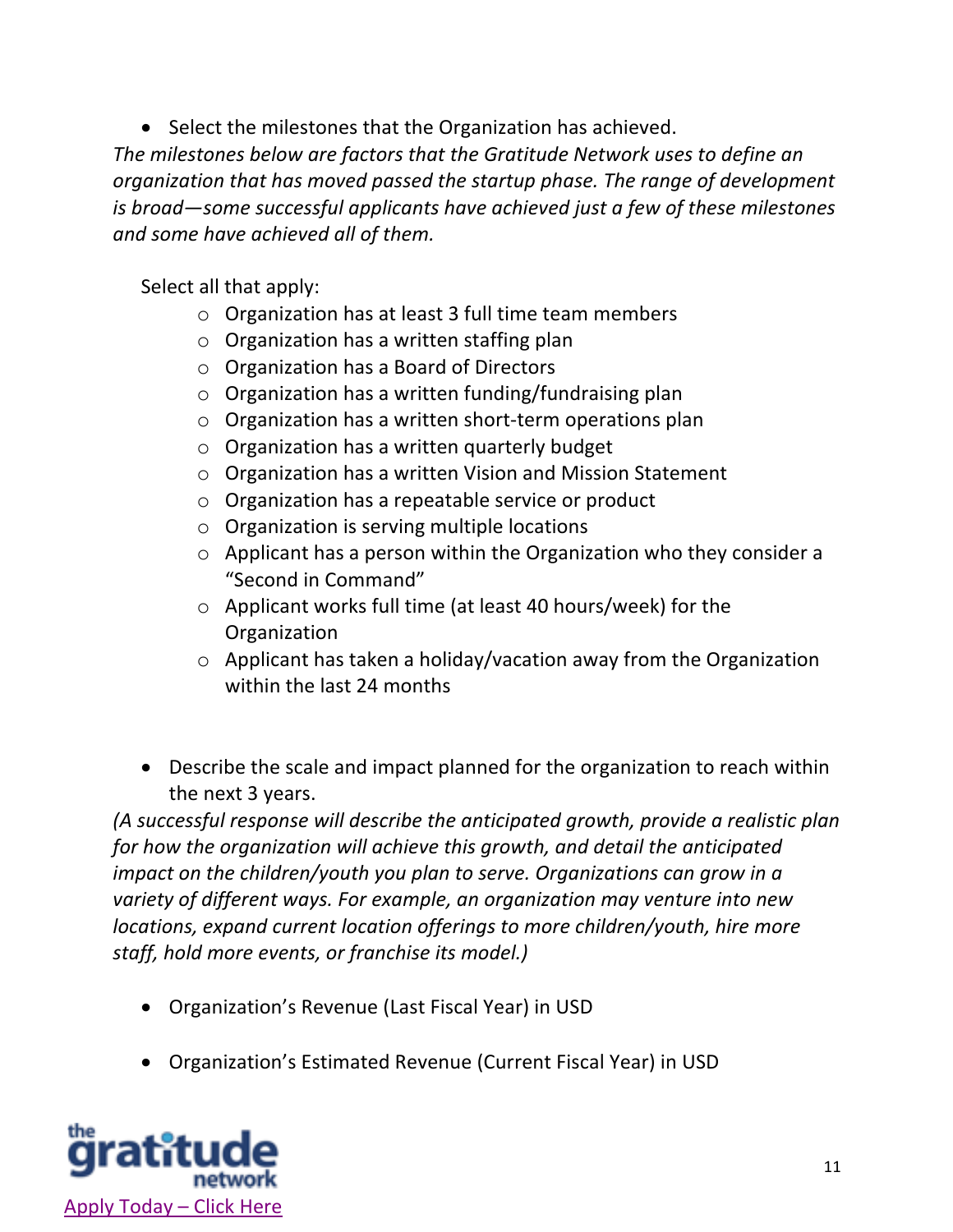• Select the milestones that the Organization has achieved.

*The milestones below are factors that the Gratitude Network uses to define an organization that has moved passed the startup phase. The range of development is broad—some successful applicants have achieved just a few of these milestones and some have achieved all of them.*

Select all that apply:

- o Organization has at least 3 full time team members
- o Organization has a written staffing plan
- o Organization has a Board of Directors
- o Organization has a written funding/fundraising plan
- o Organization has a written short-term operations plan
- o Organization has a written quarterly budget
- o Organization has a written Vision and Mission Statement
- o Organization has a repeatable service or product
- o Organization is serving multiple locations
- o Applicant has a person within the Organization who they consider a "Second in Command"
- o Applicant works full time (at least 40 hours/week) for the Organization
- o Applicant has taken a holiday/vacation away from the Organization within the last 24 months
- Describe the scale and impact planned for the organization to reach within the next 3 years.

*(A successful response will describe the anticipated growth, provide a realistic plan for how the organization will achieve this growth, and detail the anticipated impact on the children/youth you plan to serve. Organizations can grow in a variety of different ways. For example, an organization may venture into new locations, expand current location offerings to more children/youth, hire more staff, hold more events, or franchise its model.)*

- Organization's Revenue (Last Fiscal Year) in USD
- Organization's Estimated Revenue (Current Fiscal Year) in USD

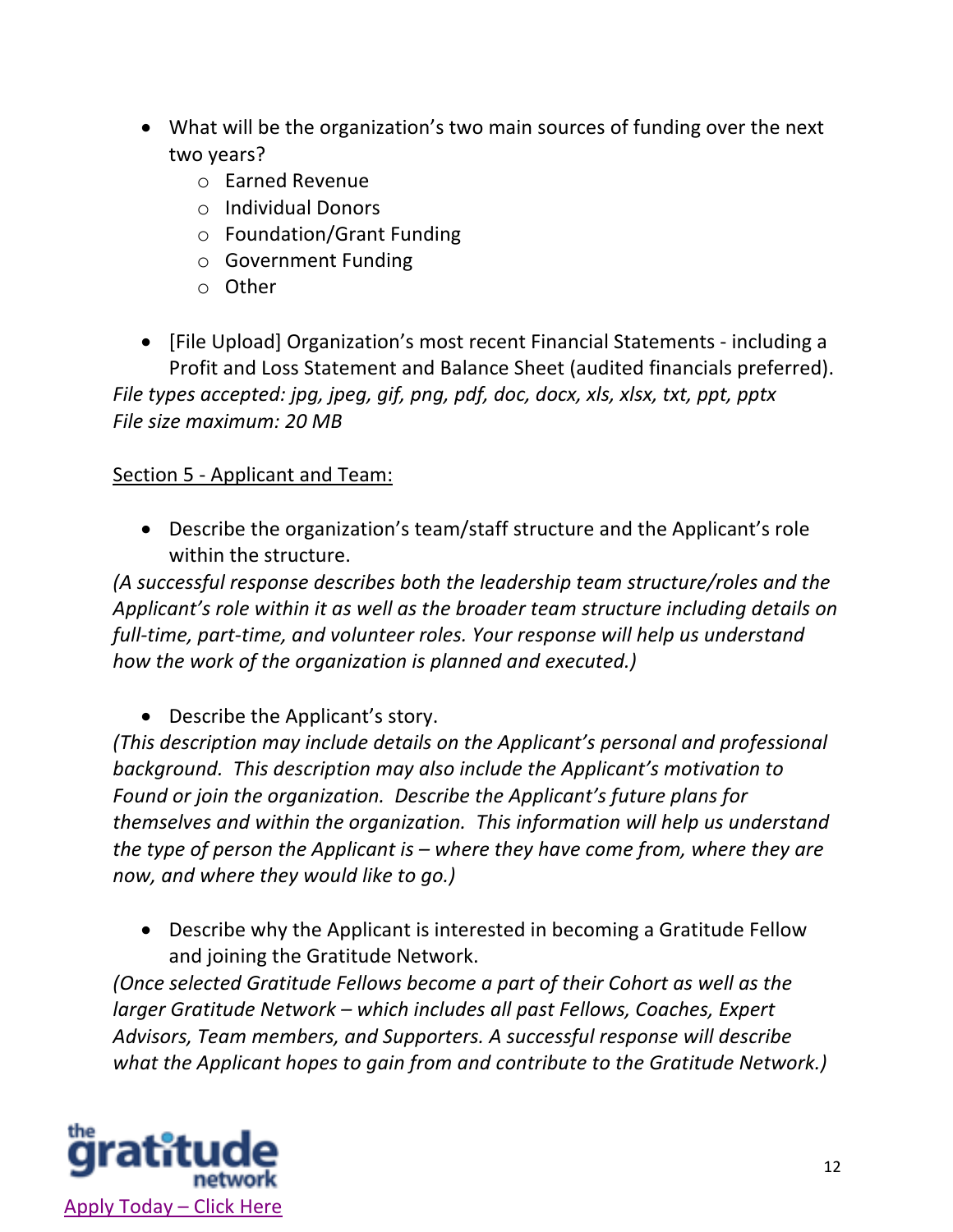- What will be the organization's two main sources of funding over the next two years?
	- o Earned Revenue
	- o Individual Donors
	- o Foundation/Grant Funding
	- o Government Funding
	- o Other
- [File Upload] Organization's most recent Financial Statements including a Profit and Loss Statement and Balance Sheet (audited financials preferred). *File types accepted: jpg, jpeg, gif, png, pdf, doc, docx, xls, xlsx, txt, ppt, pptx File size maximum: 20 MB*

#### Section 5 - Applicant and Team:

• Describe the organization's team/staff structure and the Applicant's role within the structure.

*(A successful response describes both the leadership team structure/roles and the Applicant's role within it as well as the broader team structure including details on full-time, part-time, and volunteer roles. Your response will help us understand how the work of the organization is planned and executed.)*

• Describe the Applicant's story.

*(This description may include details on the Applicant's personal and professional background. This description may also include the Applicant's motivation to Found or join the organization. Describe the Applicant's future plans for themselves and within the organization. This information will help us understand the type of person the Applicant is – where they have come from, where they are now, and where they would like to go.)*

• Describe why the Applicant is interested in becoming a Gratitude Fellow and joining the Gratitude Network.

*(Once selected Gratitude Fellows become a part of their Cohort as well as the larger Gratitude Network – which includes all past Fellows, Coaches, Expert Advisors, Team members, and Supporters. A successful response will describe what the Applicant hopes to gain from and contribute to the Gratitude Network.)* 

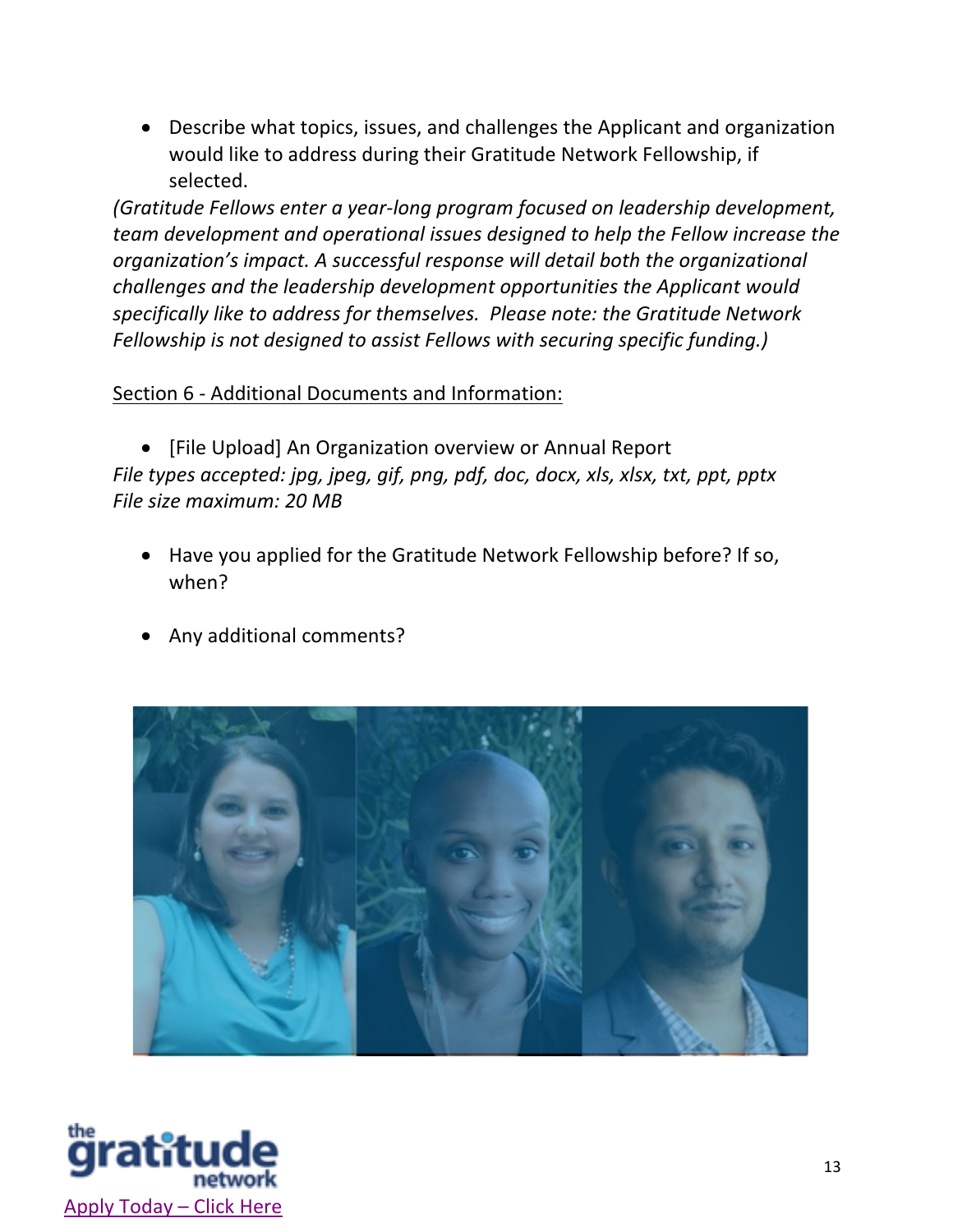• Describe what topics, issues, and challenges the Applicant and organization would like to address during their Gratitude Network Fellowship, if selected.

*(Gratitude Fellows enter a year-long program focused on leadership development, team development and operational issues designed to help the Fellow increase the organization's impact. A successful response will detail both the organizational challenges and the leadership development opportunities the Applicant would specifically like to address for themselves. Please note: the Gratitude Network Fellowship is not designed to assist Fellows with securing specific funding.)*

#### Section 6 - Additional Documents and Information:

• [File Upload] An Organization overview or Annual Report *File types accepted: jpg, jpeg, gif, png, pdf, doc, docx, xls, xlsx, txt, ppt, pptx File size maximum: 20 MB*

- Have you applied for the Gratitude Network Fellowship before? If so, when?
- Any additional comments?



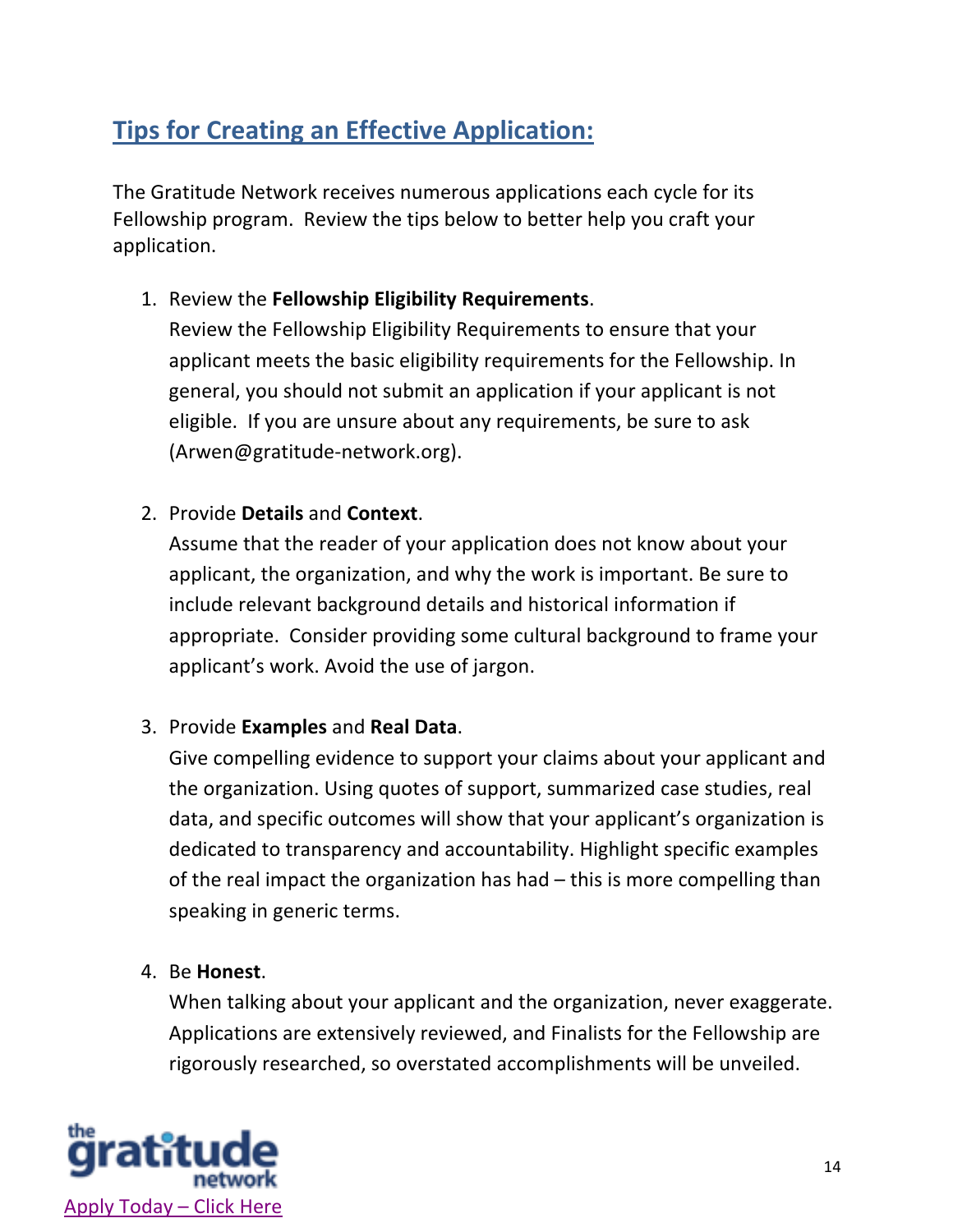# **Tips for Creating an Effective Application:**

The Gratitude Network receives numerous applications each cycle for its Fellowship program. Review the tips below to better help you craft your application.

1. Review the **Fellowship Eligibility Requirements**.

Review the Fellowship Eligibility Requirements to ensure that your applicant meets the basic eligibility requirements for the Fellowship. In general, you should not submit an application if your applicant is not eligible. If you are unsure about any requirements, be sure to ask (Arwen@gratitude-network.org).

2. Provide **Details** and **Context**.

Assume that the reader of your application does not know about your applicant, the organization, and why the work is important. Be sure to include relevant background details and historical information if appropriate. Consider providing some cultural background to frame your applicant's work. Avoid the use of jargon.

#### 3. Provide **Examples** and **Real Data**.

Give compelling evidence to support your claims about your applicant and the organization. Using quotes of support, summarized case studies, real data, and specific outcomes will show that your applicant's organization is dedicated to transparency and accountability. Highlight specific examples of the real impact the organization has had – this is more compelling than speaking in generic terms.

4. Be **Honest**.

When talking about your applicant and the organization, never exaggerate. Applications are extensively reviewed, and Finalists for the Fellowship are rigorously researched, so overstated accomplishments will be unveiled.

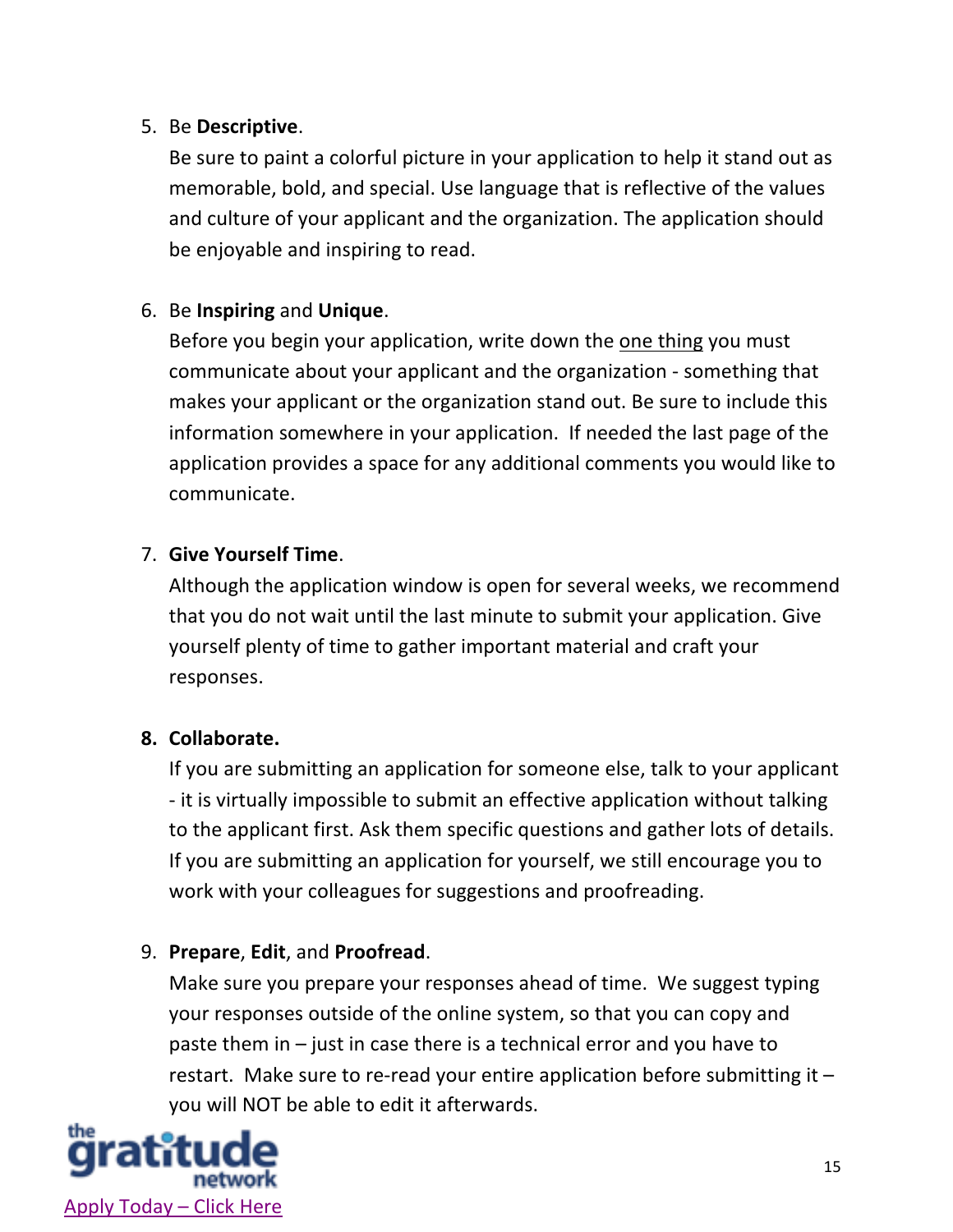#### 5. Be **Descriptive**.

Be sure to paint a colorful picture in your application to help it stand out as memorable, bold, and special. Use language that is reflective of the values and culture of your applicant and the organization. The application should be enjoyable and inspiring to read.

#### 6. Be **Inspiring** and **Unique**.

Before you begin your application, write down the one thing you must communicate about your applicant and the organization - something that makes your applicant or the organization stand out. Be sure to include this information somewhere in your application. If needed the last page of the application provides a space for any additional comments you would like to communicate.

#### 7. **Give Yourself Time**.

Although the application window is open for several weeks, we recommend that you do not wait until the last minute to submit your application. Give yourself plenty of time to gather important material and craft your responses.

#### **8. Collaborate.**

If you are submitting an application for someone else, talk to your applicant - it is virtually impossible to submit an effective application without talking to the applicant first. Ask them specific questions and gather lots of details. If you are submitting an application for yourself, we still encourage you to work with your colleagues for suggestions and proofreading.

#### 9. **Prepare**, **Edit**, and **Proofread**.

Make sure you prepare your responses ahead of time. We suggest typing your responses outside of the online system, so that you can copy and paste them in – just in case there is a technical error and you have to restart. Make sure to re-read your entire application before submitting it – you will NOT be able to edit it afterwards.